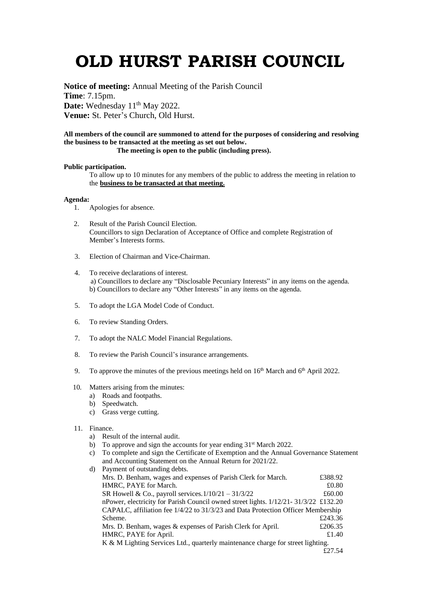## **OLD HURST PARISH COUNCIL**

**Notice of meeting:** Annual Meeting of the Parish Council **Time**: 7.15pm. Date: Wednesday 11<sup>th</sup> May 2022. **Venue:** St. Peter's Church, Old Hurst.

## **All members of the council are summoned to attend for the purposes of considering and resolving the business to be transacted at the meeting as set out below. The meeting is open to the public (including press).**

## **Public participation.**

To allow up to 10 minutes for any members of the public to address the meeting in relation to the **business to be transacted at that meeting.** 

## **Agenda:**

- 1. Apologies for absence.
- 2. Result of the Parish Council Election. Councillors to sign Declaration of Acceptance of Office and complete Registration of Member's Interests forms.
- 3. Election of Chairman and Vice-Chairman.
- 4. To receive declarations of interest. a) Councillors to declare any "Disclosable Pecuniary Interests" in any items on the agenda. b) Councillors to declare any "Other Interests" in any items on the agenda.
- 5. To adopt the LGA Model Code of Conduct.
- 6. To review Standing Orders.
- 7. To adopt the NALC Model Financial Regulations.
- 8. To review the Parish Council's insurance arrangements.
- 9. To approve the minutes of the previous meetings held on  $16<sup>th</sup>$  March and  $6<sup>th</sup>$  April 2022.
- 10. Matters arising from the minutes:
	- a) Roads and footpaths.
	- b) Speedwatch.
	- c) Grass verge cutting.
- 11. Finance.
	- a) Result of the internal audit.
	- b) To approve and sign the accounts for year ending 31<sup>st</sup> March 2022.
	- c) To complete and sign the Certificate of Exemption and the Annual Governance Statement and Accounting Statement on the Annual Return for 2021/22.

| d). | Payment of outstanding debts.                                                                                       |         |
|-----|---------------------------------------------------------------------------------------------------------------------|---------|
|     | Mrs. D. Benham, wages and expenses of Parish Clerk for March.                                                       | £388.92 |
|     | HMRC, PAYE for March.                                                                                               | £0.80   |
|     | SR Howell & Co., payroll services. $1/10/21 - 31/3/22$                                                              | £60.00  |
|     | nPower, electricity for Parish Council owned street lights. $1/12/21 - 31/3/22 \text{ } \text{\textsterling}132.20$ |         |
|     | CAPALC, affiliation fee 1/4/22 to 31/3/23 and Data Protection Officer Membership                                    |         |
|     | Scheme.                                                                                                             | £243.36 |
|     | Mrs. D. Benham, wages & expenses of Parish Clerk for April.                                                         | £206.35 |
|     | HMRC, PAYE for April.                                                                                               | £1.40   |
|     | K & M Lighting Services Ltd., quarterly maintenance charge for street lighting.                                     |         |
|     |                                                                                                                     | f2754   |